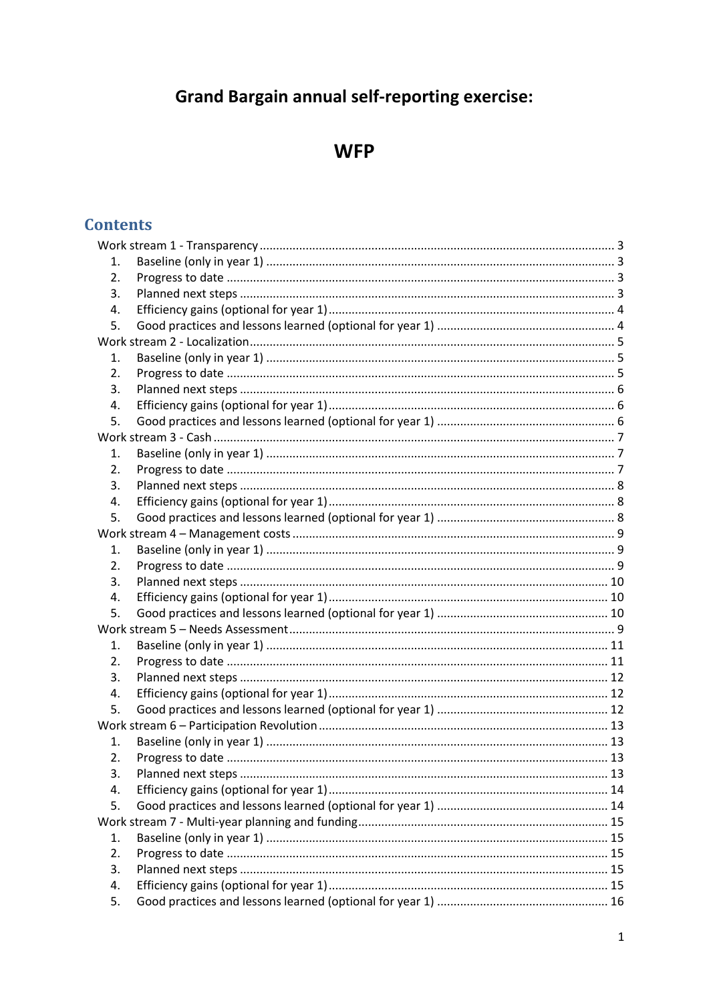# **Grand Bargain annual self-reporting exercise:**

# **WFP**

## **Contents**

| 1.       |  |  |  |  |
|----------|--|--|--|--|
| 2.       |  |  |  |  |
| 3.       |  |  |  |  |
| 4.       |  |  |  |  |
| 5.       |  |  |  |  |
|          |  |  |  |  |
| 1.       |  |  |  |  |
| 2.       |  |  |  |  |
| 3.       |  |  |  |  |
| 4.       |  |  |  |  |
| 5.       |  |  |  |  |
|          |  |  |  |  |
| 1.       |  |  |  |  |
| 2.       |  |  |  |  |
| 3.       |  |  |  |  |
| 4.       |  |  |  |  |
| 5.       |  |  |  |  |
|          |  |  |  |  |
| 1.       |  |  |  |  |
| 2.       |  |  |  |  |
| 3.       |  |  |  |  |
| 4.       |  |  |  |  |
| 5.       |  |  |  |  |
|          |  |  |  |  |
| 1.       |  |  |  |  |
| 2.       |  |  |  |  |
| 3.       |  |  |  |  |
| 4.       |  |  |  |  |
| 5.       |  |  |  |  |
|          |  |  |  |  |
| 1.       |  |  |  |  |
| 2.       |  |  |  |  |
| 3.       |  |  |  |  |
| 4.       |  |  |  |  |
| 5.       |  |  |  |  |
|          |  |  |  |  |
|          |  |  |  |  |
| 1.       |  |  |  |  |
| 2.       |  |  |  |  |
| 3.       |  |  |  |  |
| 4.<br>5. |  |  |  |  |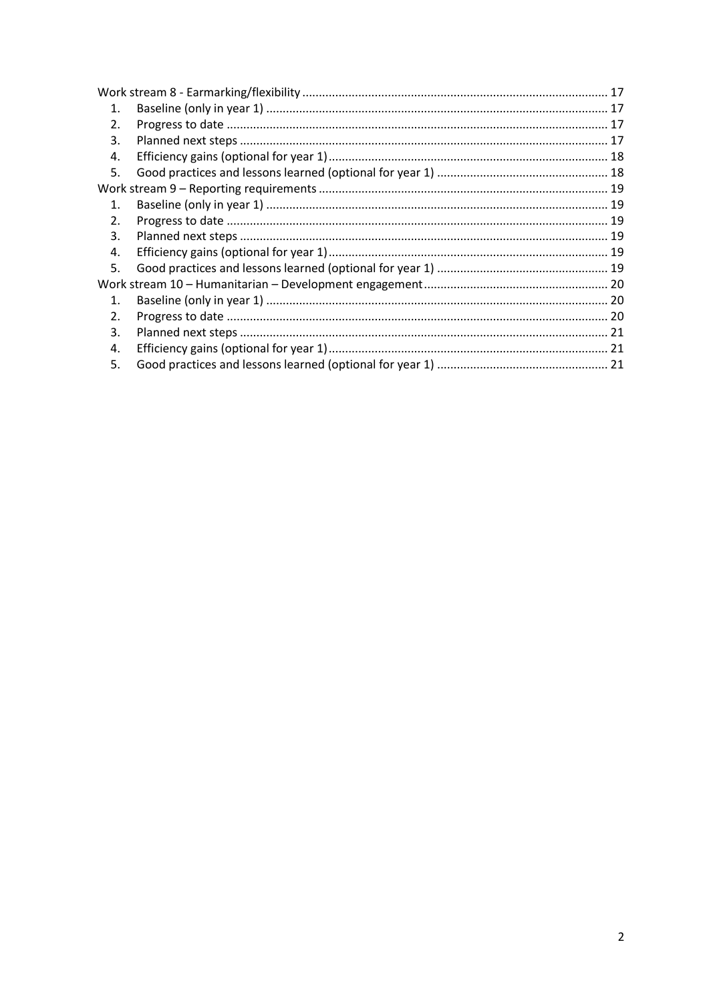| $\mathbf{1}$ . |  |  |
|----------------|--|--|
| 2.             |  |  |
| 3.             |  |  |
| 4.             |  |  |
| 5.             |  |  |
|                |  |  |
| $\mathbf 1$    |  |  |
| 2.             |  |  |
| 3.             |  |  |
| 4.             |  |  |
| 5.             |  |  |
|                |  |  |
| $\mathbf 1$    |  |  |
| 2.             |  |  |
| 3.             |  |  |
| 4.             |  |  |
| 5.             |  |  |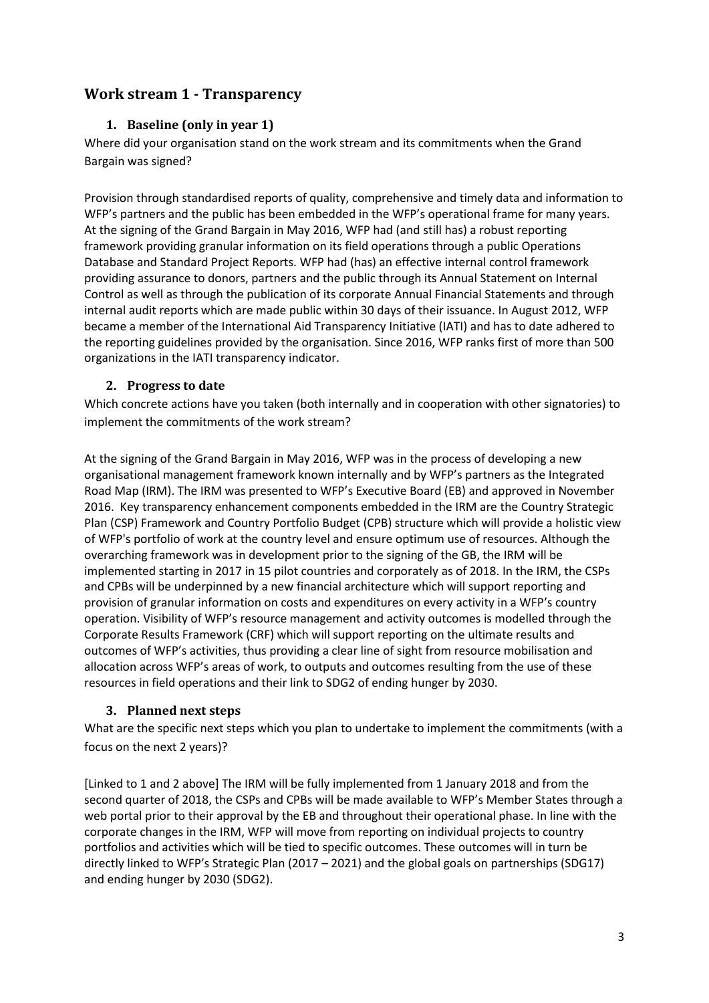## <span id="page-2-1"></span><span id="page-2-0"></span>**Work stream 1 - Transparency**

## **1. Baseline (only in year 1)**

Where did your organisation stand on the work stream and its commitments when the Grand Bargain was signed?

Provision through standardised reports of quality, comprehensive and timely data and information to WFP's partners and the public has been embedded in the WFP's operational frame for many years. At the signing of the Grand Bargain in May 2016, WFP had (and still has) a robust reporting framework providing granular information on its field operations through a public Operations Database and Standard Project Reports. WFP had (has) an effective internal control framework providing assurance to donors, partners and the public through its Annual Statement on Internal Control as well as through the publication of its corporate Annual Financial Statements and through internal audit reports which are made public within 30 days of their issuance. In August 2012, WFP became a member of the International Aid Transparency Initiative (IATI) and has to date adhered to the reporting guidelines provided by the organisation. Since 2016, WFP ranks first of more than 500 organizations in the IATI transparency indicator.

### <span id="page-2-2"></span>**2. Progress to date**

Which concrete actions have you taken (both internally and in cooperation with other signatories) to implement the commitments of the work stream?

At the signing of the Grand Bargain in May 2016, WFP was in the process of developing a new organisational management framework known internally and by WFP's partners as the Integrated Road Map (IRM). The IRM was presented to WFP's Executive Board (EB) and approved in November 2016. Key transparency enhancement components embedded in the IRM are the Country Strategic Plan (CSP) Framework and Country Portfolio Budget (CPB) structure which will provide a holistic view of WFP's portfolio of work at the country level and ensure optimum use of resources. Although the overarching framework was in development prior to the signing of the GB, the IRM will be implemented starting in 2017 in 15 pilot countries and corporately as of 2018. In the IRM, the CSPs and CPBs will be underpinned by a new financial architecture which will support reporting and provision of granular information on costs and expenditures on every activity in a WFP's country operation. Visibility of WFP's resource management and activity outcomes is modelled through the Corporate Results Framework (CRF) which will support reporting on the ultimate results and outcomes of WFP's activities, thus providing a clear line of sight from resource mobilisation and allocation across WFP's areas of work, to outputs and outcomes resulting from the use of these resources in field operations and their link to SDG2 of ending hunger by 2030.

## <span id="page-2-3"></span>**3. Planned next steps**

What are the specific next steps which you plan to undertake to implement the commitments (with a focus on the next 2 years)?

[Linked to 1 and 2 above] The IRM will be fully implemented from 1 January 2018 and from the second quarter of 2018, the CSPs and CPBs will be made available to WFP's Member States through a web portal prior to their approval by the EB and throughout their operational phase. In line with the corporate changes in the IRM, WFP will move from reporting on individual projects to country portfolios and activities which will be tied to specific outcomes. These outcomes will in turn be directly linked to WFP's Strategic Plan (2017 – 2021) and the global goals on partnerships (SDG17) and ending hunger by 2030 (SDG2).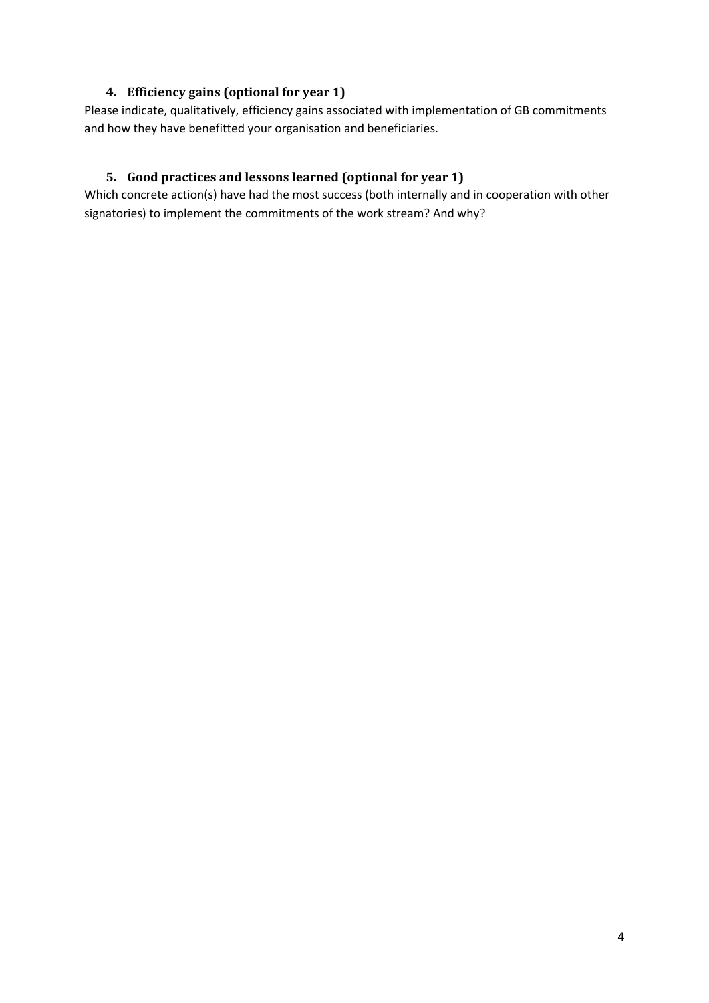## **4. Efficiency gains (optional for year 1)**

<span id="page-3-0"></span>Please indicate, qualitatively, efficiency gains associated with implementation of GB commitments and how they have benefitted your organisation and beneficiaries.

## <span id="page-3-1"></span>**5. Good practices and lessons learned (optional for year 1)**

Which concrete action(s) have had the most success (both internally and in cooperation with other signatories) to implement the commitments of the work stream? And why?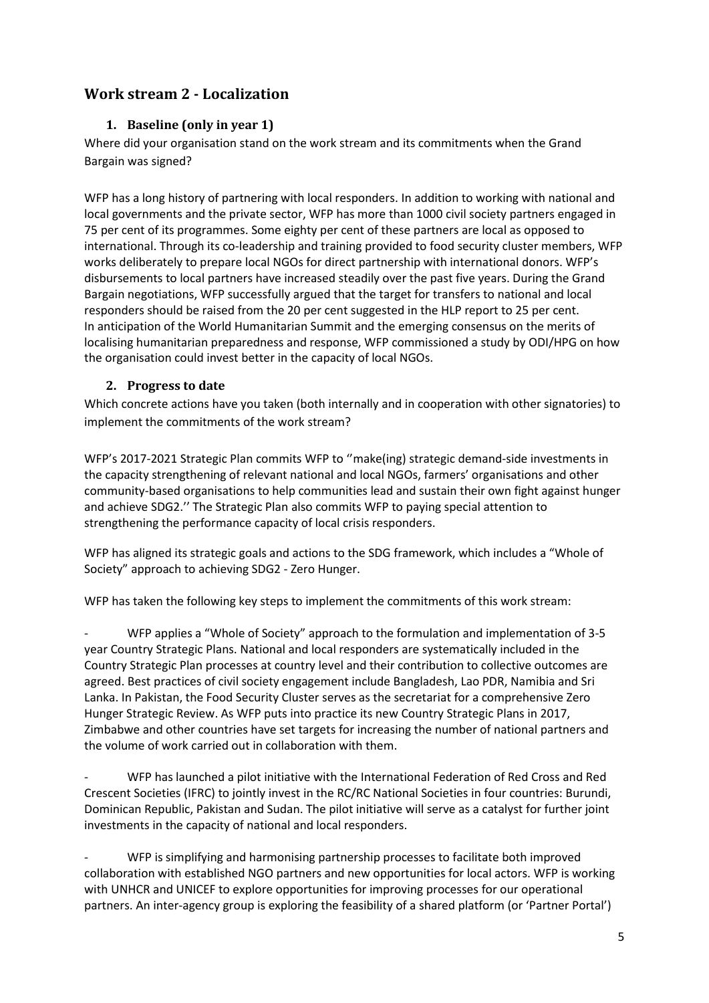## <span id="page-4-1"></span><span id="page-4-0"></span>**Work stream 2 - Localization**

## **1. Baseline (only in year 1)**

Where did your organisation stand on the work stream and its commitments when the Grand Bargain was signed?

WFP has a long history of partnering with local responders. In addition to working with national and local governments and the private sector, WFP has more than 1000 civil society partners engaged in 75 per cent of its programmes. Some eighty per cent of these partners are local as opposed to international. Through its co-leadership and training provided to food security cluster members, WFP works deliberately to prepare local NGOs for direct partnership with international donors. WFP's disbursements to local partners have increased steadily over the past five years. During the Grand Bargain negotiations, WFP successfully argued that the target for transfers to national and local responders should be raised from the 20 per cent suggested in the HLP report to 25 per cent. In anticipation of the World Humanitarian Summit and the emerging consensus on the merits of localising humanitarian preparedness and response, WFP commissioned a study by ODI/HPG on how the organisation could invest better in the capacity of local NGOs.

## <span id="page-4-2"></span>**2. Progress to date**

Which concrete actions have you taken (both internally and in cooperation with other signatories) to implement the commitments of the work stream?

WFP's 2017-2021 Strategic Plan commits WFP to ''make(ing) strategic demand-side investments in the capacity strengthening of relevant national and local NGOs, farmers' organisations and other community-based organisations to help communities lead and sustain their own fight against hunger and achieve SDG2.'' The Strategic Plan also commits WFP to paying special attention to strengthening the performance capacity of local crisis responders.

WFP has aligned its strategic goals and actions to the SDG framework, which includes a "Whole of Society" approach to achieving SDG2 - Zero Hunger.

WFP has taken the following key steps to implement the commitments of this work stream:

- WFP applies a "Whole of Society" approach to the formulation and implementation of 3-5 year Country Strategic Plans. National and local responders are systematically included in the Country Strategic Plan processes at country level and their contribution to collective outcomes are agreed. Best practices of civil society engagement include Bangladesh, Lao PDR, Namibia and Sri Lanka. In Pakistan, the Food Security Cluster serves as the secretariat for a comprehensive Zero Hunger Strategic Review. As WFP puts into practice its new Country Strategic Plans in 2017, Zimbabwe and other countries have set targets for increasing the number of national partners and the volume of work carried out in collaboration with them.

WFP has launched a pilot initiative with the International Federation of Red Cross and Red Crescent Societies (IFRC) to jointly invest in the RC/RC National Societies in four countries: Burundi, Dominican Republic, Pakistan and Sudan. The pilot initiative will serve as a catalyst for further joint investments in the capacity of national and local responders.

WFP is simplifying and harmonising partnership processes to facilitate both improved collaboration with established NGO partners and new opportunities for local actors. WFP is working with UNHCR and UNICEF to explore opportunities for improving processes for our operational partners. An inter-agency group is exploring the feasibility of a shared platform (or 'Partner Portal')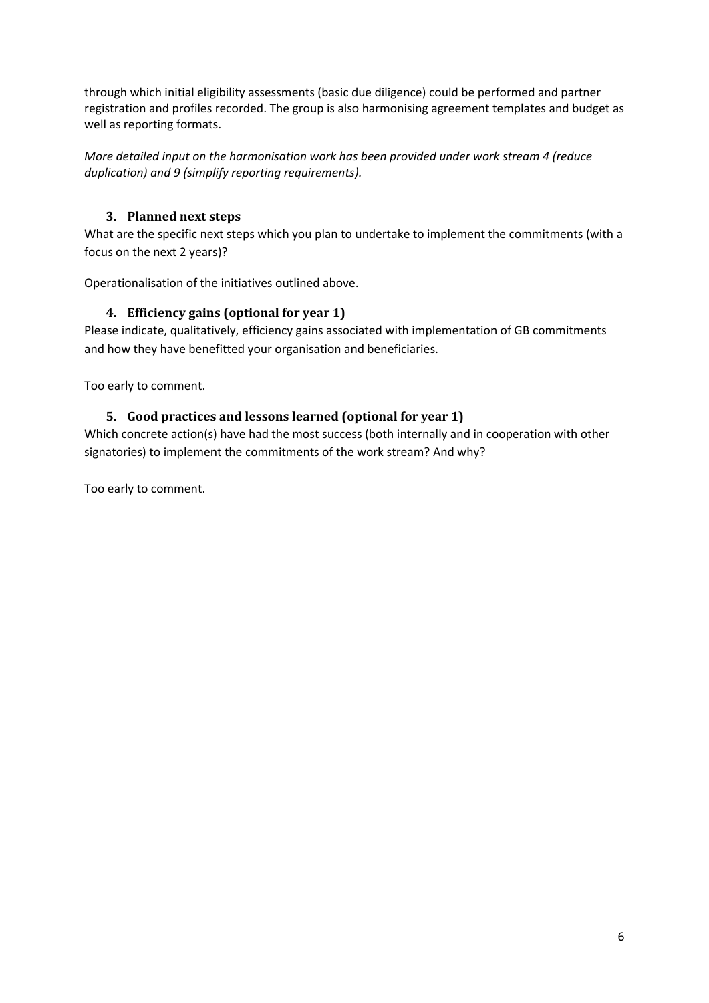through which initial eligibility assessments (basic due diligence) could be performed and partner registration and profiles recorded. The group is also harmonising agreement templates and budget as well as reporting formats.

*More detailed input on the harmonisation work has been provided under work stream 4 (reduce duplication) and 9 (simplify reporting requirements).* 

## <span id="page-5-0"></span>**3. Planned next steps**

What are the specific next steps which you plan to undertake to implement the commitments (with a focus on the next 2 years)?

<span id="page-5-1"></span>Operationalisation of the initiatives outlined above.

## **4. Efficiency gains (optional for year 1)**

Please indicate, qualitatively, efficiency gains associated with implementation of GB commitments and how they have benefitted your organisation and beneficiaries.

<span id="page-5-2"></span>Too early to comment.

## **5. Good practices and lessons learned (optional for year 1)**

Which concrete action(s) have had the most success (both internally and in cooperation with other signatories) to implement the commitments of the work stream? And why?

Too early to comment.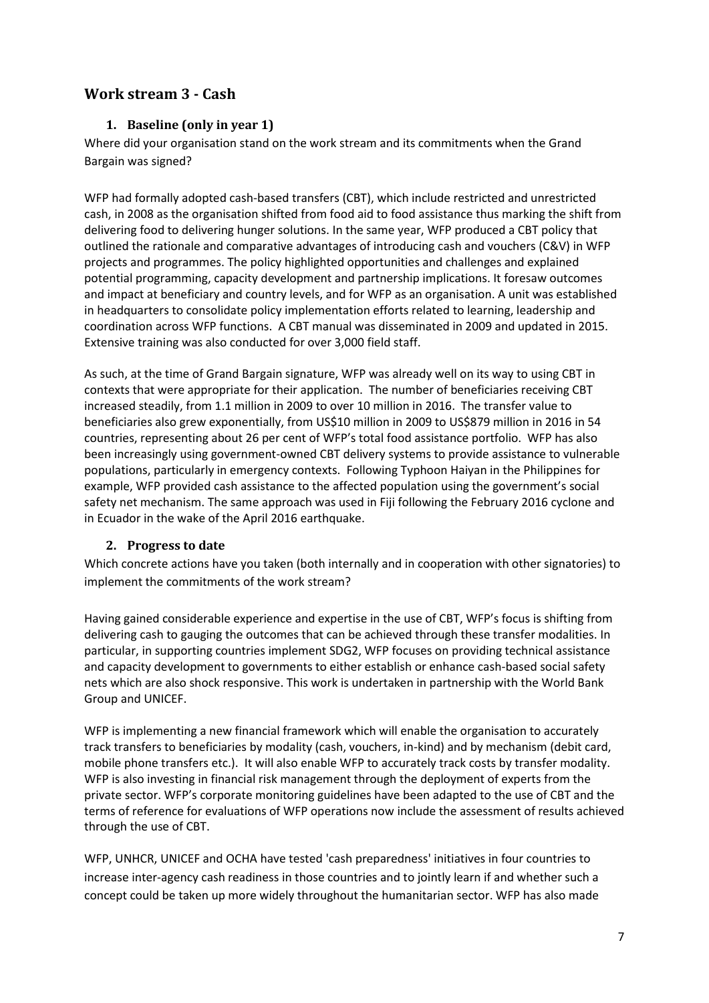## <span id="page-6-1"></span><span id="page-6-0"></span>**Work stream 3 - Cash**

## **1. Baseline (only in year 1)**

Where did your organisation stand on the work stream and its commitments when the Grand Bargain was signed?

WFP had formally adopted cash-based transfers (CBT), which include restricted and unrestricted cash, in 2008 as the organisation shifted from food aid to food assistance thus marking the shift from delivering food to delivering hunger solutions. In the same year, WFP produced a CBT policy that outlined the rationale and comparative advantages of introducing cash and vouchers (C&V) in WFP projects and programmes. The policy highlighted opportunities and challenges and explained potential programming, capacity development and partnership implications. It foresaw outcomes and impact at beneficiary and country levels, and for WFP as an organisation. A unit was established in headquarters to consolidate policy implementation efforts related to learning, leadership and coordination across WFP functions. A CBT manual was disseminated in 2009 and updated in 2015. Extensive training was also conducted for over 3,000 field staff.

As such, at the time of Grand Bargain signature, WFP was already well on its way to using CBT in contexts that were appropriate for their application. The number of beneficiaries receiving CBT increased steadily, from 1.1 million in 2009 to over 10 million in 2016. The transfer value to beneficiaries also grew exponentially, from US\$10 million in 2009 to US\$879 million in 2016 in 54 countries, representing about 26 per cent of WFP's total food assistance portfolio. WFP has also been increasingly using government-owned CBT delivery systems to provide assistance to vulnerable populations, particularly in emergency contexts. Following Typhoon Haiyan in the Philippines for example, WFP provided cash assistance to the affected population using the government's social safety net mechanism. The same approach was used in Fiji following the February 2016 cyclone and in Ecuador in the wake of the April 2016 earthquake.

#### <span id="page-6-2"></span>**2. Progress to date**

Which concrete actions have you taken (both internally and in cooperation with other signatories) to implement the commitments of the work stream?

Having gained considerable experience and expertise in the use of CBT, WFP's focus is shifting from delivering cash to gauging the outcomes that can be achieved through these transfer modalities. In particular, in supporting countries implement SDG2, WFP focuses on providing technical assistance and capacity development to governments to either establish or enhance cash-based social safety nets which are also shock responsive. This work is undertaken in partnership with the World Bank Group and UNICEF.

WFP is implementing a new financial framework which will enable the organisation to accurately track transfers to beneficiaries by modality (cash, vouchers, in-kind) and by mechanism (debit card, mobile phone transfers etc.). It will also enable WFP to accurately track costs by transfer modality. WFP is also investing in financial risk management through the deployment of experts from the private sector. WFP's corporate monitoring guidelines have been adapted to the use of CBT and the terms of reference for evaluations of WFP operations now include the assessment of results achieved through the use of CBT.

WFP, UNHCR, UNICEF and OCHA have tested 'cash preparedness' initiatives in four countries to increase inter-agency cash readiness in those countries and to jointly learn if and whether such a concept could be taken up more widely throughout the humanitarian sector. WFP has also made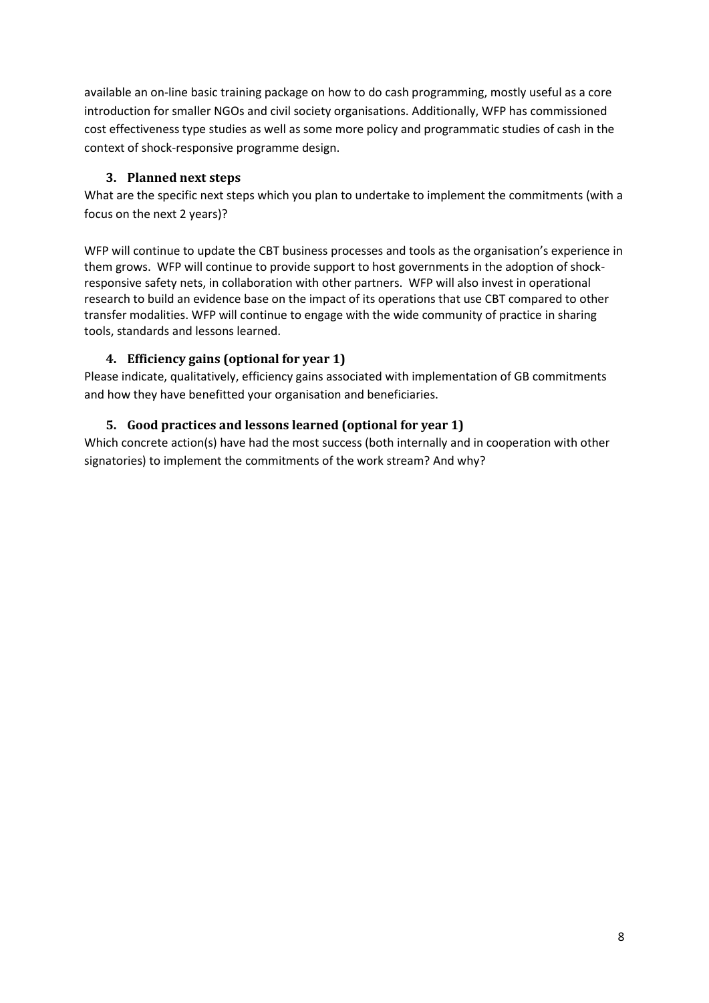available an on-line basic training package on how to do cash programming, mostly useful as a core introduction for smaller NGOs and civil society organisations. Additionally, WFP has commissioned cost effectiveness type studies as well as some more policy and programmatic studies of cash in the context of shock-responsive programme design.

## **3. Planned next steps**

<span id="page-7-0"></span>What are the specific next steps which you plan to undertake to implement the commitments (with a focus on the next 2 years)?

WFP will continue to update the CBT business processes and tools as the organisation's experience in them grows. WFP will continue to provide support to host governments in the adoption of shockresponsive safety nets, in collaboration with other partners. WFP will also invest in operational research to build an evidence base on the impact of its operations that use CBT compared to other transfer modalities. WFP will continue to engage with the wide community of practice in sharing tools, standards and lessons learned.

## <span id="page-7-1"></span>**4. Efficiency gains (optional for year 1)**

Please indicate, qualitatively, efficiency gains associated with implementation of GB commitments and how they have benefitted your organisation and beneficiaries.

## <span id="page-7-2"></span>**5. Good practices and lessons learned (optional for year 1)**

Which concrete action(s) have had the most success (both internally and in cooperation with other signatories) to implement the commitments of the work stream? And why?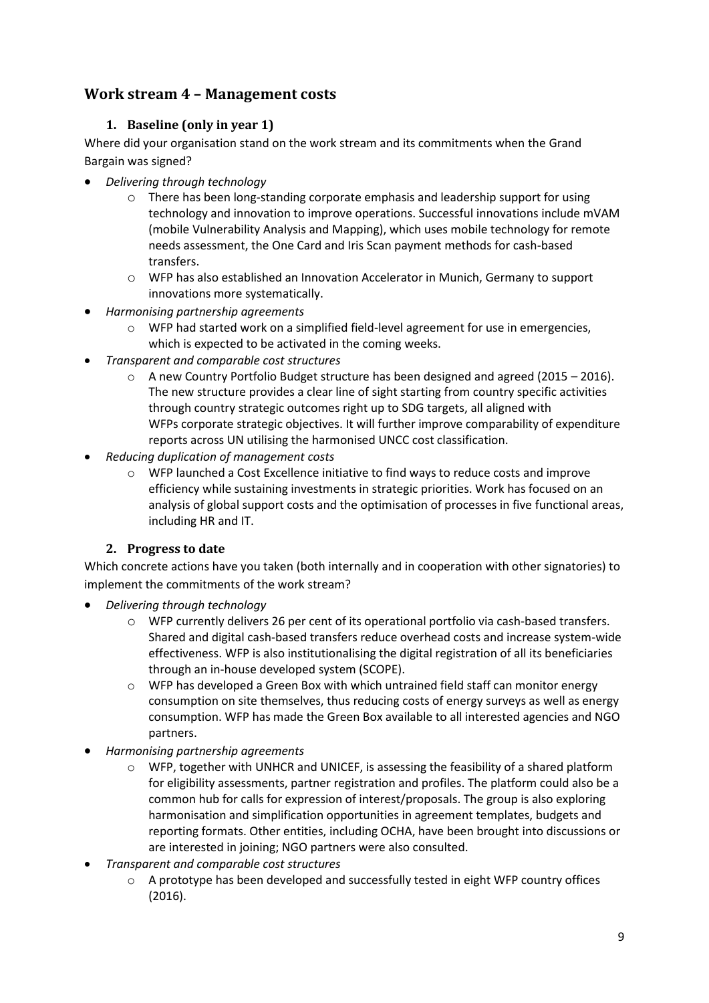## <span id="page-8-1"></span><span id="page-8-0"></span>**Work stream 4 – Management costs**

## **1. Baseline (only in year 1)**

Where did your organisation stand on the work stream and its commitments when the Grand Bargain was signed?

- *Delivering through technology*
	- $\circ$  There has been long-standing corporate emphasis and leadership support for using technology and innovation to improve operations. Successful innovations include mVAM (mobile Vulnerability Analysis and Mapping), which uses mobile technology for remote needs assessment, the One Card and Iris Scan payment methods for cash-based transfers.
	- o WFP has also established an Innovation Accelerator in Munich, Germany to support innovations more systematically.
- *Harmonising partnership agreements*
	- o WFP had started work on a simplified field-level agreement for use in emergencies, which is expected to be activated in the coming weeks.
- *Transparent and comparable cost structures*
	- $\circ$  A new Country Portfolio Budget structure has been designed and agreed (2015 2016). The new structure provides a clear line of sight starting from country specific activities through country strategic outcomes right up to SDG targets, all aligned with WFPs corporate strategic objectives. It will further improve comparability of expenditure reports across UN utilising the harmonised UNCC cost classification.
- *Reducing duplication of management costs* 
	- o WFP launched a Cost Excellence initiative to find ways to reduce costs and improve efficiency while sustaining investments in strategic priorities. Work has focused on an analysis of global support costs and the optimisation of processes in five functional areas, including HR and IT.

## **2. Progress to date**

<span id="page-8-2"></span>Which concrete actions have you taken (both internally and in cooperation with other signatories) to implement the commitments of the work stream?

- *Delivering through technology* 
	- $\circ$  WFP currently delivers 26 per cent of its operational portfolio via cash-based transfers. Shared and digital cash-based transfers reduce overhead costs and increase system-wide effectiveness. WFP is also institutionalising the digital registration of all its beneficiaries through an in-house developed system (SCOPE).
	- $\circ$  WFP has developed a Green Box with which untrained field staff can monitor energy consumption on site themselves, thus reducing costs of energy surveys as well as energy consumption. WFP has made the Green Box available to all interested agencies and NGO partners.
- *Harmonising partnership agreements*
	- $\circ$  WFP, together with UNHCR and UNICEF, is assessing the feasibility of a shared platform for eligibility assessments, partner registration and profiles. The platform could also be a common hub for calls for expression of interest/proposals. The group is also exploring harmonisation and simplification opportunities in agreement templates, budgets and reporting formats. Other entities, including OCHA, have been brought into discussions or are interested in joining; NGO partners were also consulted.
- *Transparent and comparable cost structures*
	- $\circ$  A prototype has been developed and successfully tested in eight WFP country offices (2016).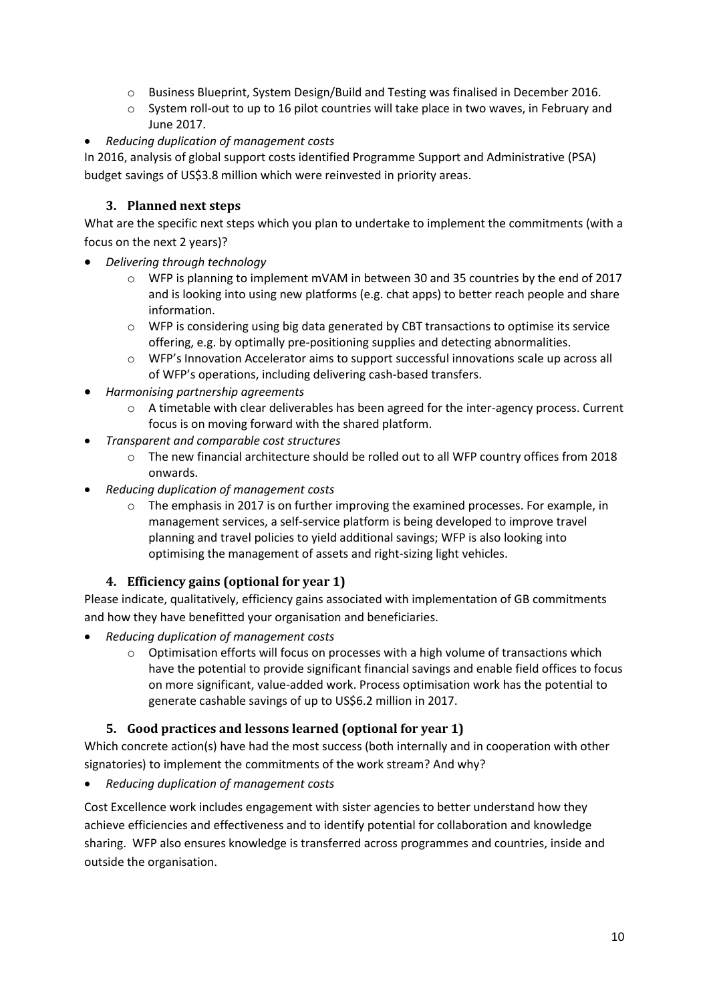- o Business Blueprint, System Design/Build and Testing was finalised in December 2016.
- o System roll-out to up to 16 pilot countries will take place in two waves, in February and June 2017.
- *Reducing duplication of management costs*

In 2016, analysis of global support costs identified Programme Support and Administrative (PSA) budget savings of US\$3.8 million which were reinvested in priority areas.

## <span id="page-9-0"></span>**3. Planned next steps**

What are the specific next steps which you plan to undertake to implement the commitments (with a focus on the next 2 years)?

- *Delivering through technology*
	- $\circ$  WFP is planning to implement mVAM in between 30 and 35 countries by the end of 2017 and is looking into using new platforms (e.g. chat apps) to better reach people and share information.
	- o WFP is considering using big data generated by CBT transactions to optimise its service offering, e.g. by optimally pre-positioning supplies and detecting abnormalities.
	- o WFP's Innovation Accelerator aims to support successful innovations scale up across all of WFP's operations, including delivering cash-based transfers.
- *Harmonising partnership agreements*
	- o A timetable with clear deliverables has been agreed for the inter-agency process. Current focus is on moving forward with the shared platform.
- *Transparent and comparable cost structures*
	- o The new financial architecture should be rolled out to all WFP country offices from 2018 onwards.
- *Reducing duplication of management costs* 
	- $\circ$  The emphasis in 2017 is on further improving the examined processes. For example, in management services, a self-service platform is being developed to improve travel planning and travel policies to yield additional savings; WFP is also looking into optimising the management of assets and right-sizing light vehicles.

## **4. Efficiency gains (optional for year 1)**

<span id="page-9-1"></span>Please indicate, qualitatively, efficiency gains associated with implementation of GB commitments and how they have benefitted your organisation and beneficiaries.

- *Reducing duplication of management costs* 
	- $\circ$  Optimisation efforts will focus on processes with a high volume of transactions which have the potential to provide significant financial savings and enable field offices to focus on more significant, value-added work. Process optimisation work has the potential to generate cashable savings of up to US\$6.2 million in 2017.

## **5. Good practices and lessons learned (optional for year 1)**

<span id="page-9-2"></span>Which concrete action(s) have had the most success (both internally and in cooperation with other signatories) to implement the commitments of the work stream? And why?

*Reducing duplication of management costs* 

Cost Excellence work includes engagement with sister agencies to better understand how they achieve efficiencies and effectiveness and to identify potential for collaboration and knowledge sharing. WFP also ensures knowledge is transferred across programmes and countries, inside and outside the organisation.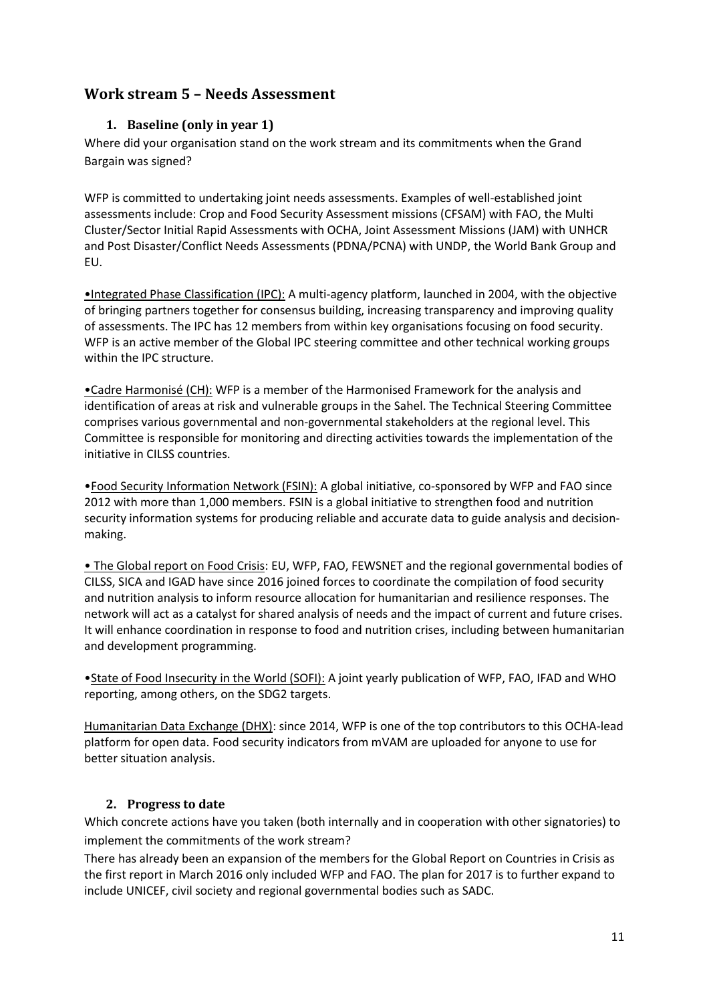## <span id="page-10-0"></span>**Work stream 5 – Needs Assessment**

## **1. Baseline (only in year 1)**

Where did your organisation stand on the work stream and its commitments when the Grand Bargain was signed?

WFP is committed to undertaking joint needs assessments. Examples of well-established joint assessments include: Crop and Food Security Assessment missions (CFSAM) with FAO, the Multi Cluster/Sector Initial Rapid Assessments with OCHA, Joint Assessment Missions (JAM) with UNHCR and Post Disaster/Conflict Needs Assessments (PDNA/PCNA) with UNDP, the World Bank Group and EU.

•Integrated Phase Classification (IPC): A multi-agency platform, launched in 2004, with the objective of bringing partners together for consensus building, increasing transparency and improving quality of assessments. The IPC has 12 members from within key organisations focusing on food security. WFP is an active member of the Global IPC steering committee and other technical working groups within the IPC structure.

•Cadre Harmonisé (CH): WFP is a member of the Harmonised Framework for the analysis and identification of areas at risk and vulnerable groups in the Sahel. The Technical Steering Committee comprises various governmental and non-governmental stakeholders at the regional level. This Committee is responsible for monitoring and directing activities towards the implementation of the initiative in CILSS countries.

•Food Security Information Network (FSIN): A global initiative, co-sponsored by WFP and FAO since 2012 with more than 1,000 members. FSIN is a global initiative to strengthen food and nutrition security information systems for producing reliable and accurate data to guide analysis and decisionmaking.

• The Global report on Food Crisis: EU, WFP, FAO, FEWSNET and the regional governmental bodies of CILSS, SICA and IGAD have since 2016 joined forces to coordinate the compilation of food security and nutrition analysis to inform resource allocation for humanitarian and resilience responses. The network will act as a catalyst for shared analysis of needs and the impact of current and future crises. It will enhance coordination in response to food and nutrition crises, including between humanitarian and development programming.

•State of Food Insecurity in the World (SOFI): A joint yearly publication of WFP, FAO, IFAD and WHO reporting, among others, on the SDG2 targets.

Humanitarian Data Exchange (DHX): since 2014, WFP is one of the top contributors to this OCHA-lead platform for open data. Food security indicators from mVAM are uploaded for anyone to use for better situation analysis.

## <span id="page-10-1"></span>**2. Progress to date**

Which concrete actions have you taken (both internally and in cooperation with other signatories) to implement the commitments of the work stream?

There has already been an expansion of the members for the Global Report on Countries in Crisis as the first report in March 2016 only included WFP and FAO. The plan for 2017 is to further expand to include UNICEF, civil society and regional governmental bodies such as SADC.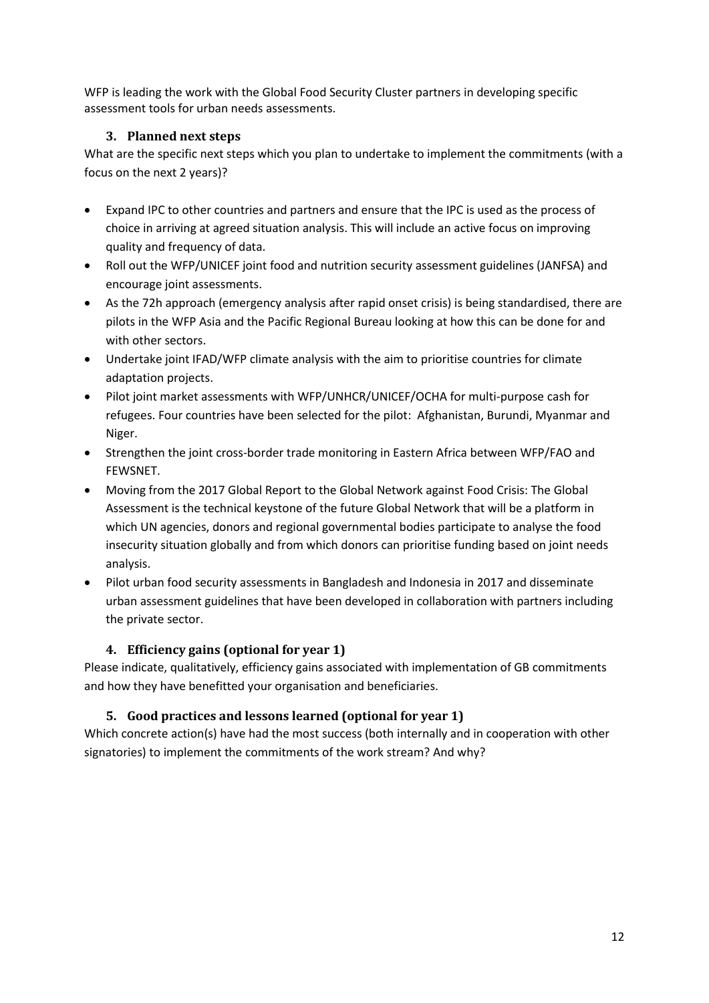WFP is leading the work with the Global Food Security Cluster partners in developing specific assessment tools for urban needs assessments.

## <span id="page-11-0"></span>**3. Planned next steps**

What are the specific next steps which you plan to undertake to implement the commitments (with a focus on the next 2 years)?

- Expand IPC to other countries and partners and ensure that the IPC is used as the process of choice in arriving at agreed situation analysis. This will include an active focus on improving quality and frequency of data.
- Roll out the WFP/UNICEF joint food and nutrition security assessment guidelines (JANFSA) and encourage joint assessments.
- As the 72h approach (emergency analysis after rapid onset crisis) is being standardised, there are pilots in the WFP Asia and the Pacific Regional Bureau looking at how this can be done for and with other sectors.
- Undertake joint IFAD/WFP climate analysis with the aim to prioritise countries for climate adaptation projects.
- Pilot joint market assessments with WFP/UNHCR/UNICEF/OCHA for multi-purpose cash for refugees. Four countries have been selected for the pilot: Afghanistan, Burundi, Myanmar and Niger.
- Strengthen the joint cross-border trade monitoring in Eastern Africa between WFP/FAO and FEWSNET.
- Moving from the 2017 Global Report to the Global Network against Food Crisis: The Global Assessment is the technical keystone of the future Global Network that will be a platform in which UN agencies, donors and regional governmental bodies participate to analyse the food insecurity situation globally and from which donors can prioritise funding based on joint needs analysis.
- Pilot urban food security assessments in Bangladesh and Indonesia in 2017 and disseminate urban assessment guidelines that have been developed in collaboration with partners including the private sector.

## <span id="page-11-1"></span>**4. Efficiency gains (optional for year 1)**

Please indicate, qualitatively, efficiency gains associated with implementation of GB commitments and how they have benefitted your organisation and beneficiaries.

## <span id="page-11-2"></span>**5. Good practices and lessons learned (optional for year 1)**

Which concrete action(s) have had the most success (both internally and in cooperation with other signatories) to implement the commitments of the work stream? And why?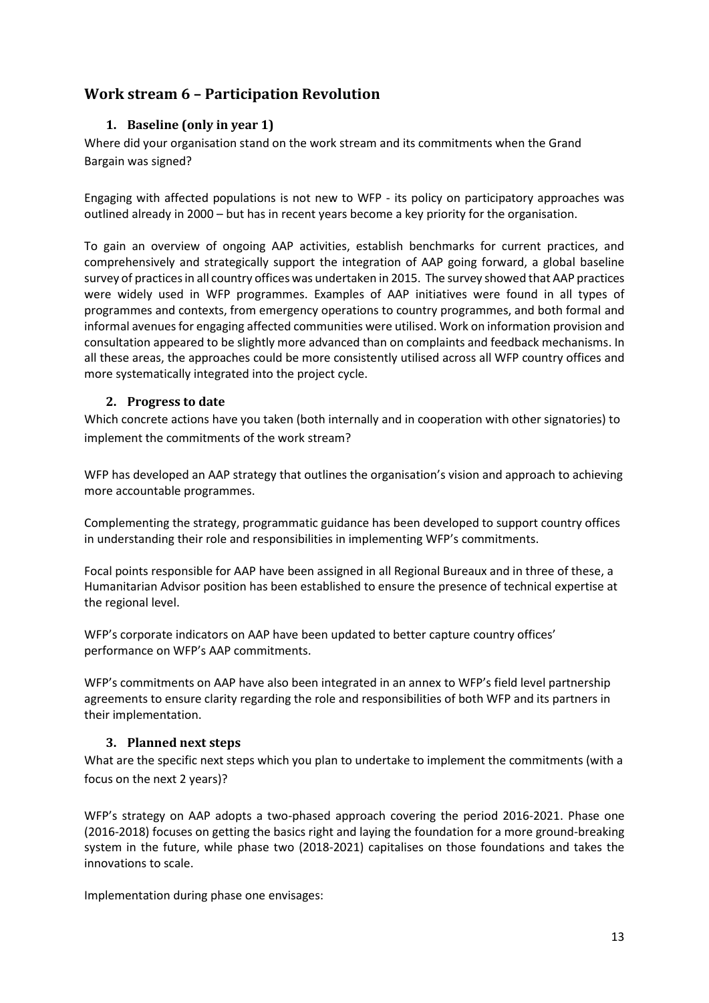## <span id="page-12-1"></span><span id="page-12-0"></span>**Work stream 6 – Participation Revolution**

### **1. Baseline (only in year 1)**

Where did your organisation stand on the work stream and its commitments when the Grand Bargain was signed?

Engaging with affected populations is not new to WFP - its policy on participatory approaches was outlined already in 2000 – but has in recent years become a key priority for the organisation.

To gain an overview of ongoing AAP activities, establish benchmarks for current practices, and comprehensively and strategically support the integration of AAP going forward, a global baseline survey of practices in all country offices was undertaken in 2015. The survey showed that AAP practices were widely used in WFP programmes. Examples of AAP initiatives were found in all types of programmes and contexts, from emergency operations to country programmes, and both formal and informal avenues for engaging affected communities were utilised. Work on information provision and consultation appeared to be slightly more advanced than on complaints and feedback mechanisms. In all these areas, the approaches could be more consistently utilised across all WFP country offices and more systematically integrated into the project cycle.

#### <span id="page-12-2"></span>**2. Progress to date**

Which concrete actions have you taken (both internally and in cooperation with other signatories) to implement the commitments of the work stream?

WFP has developed an AAP strategy that outlines the organisation's vision and approach to achieving more accountable programmes.

Complementing the strategy, programmatic guidance has been developed to support country offices in understanding their role and responsibilities in implementing WFP's commitments.

Focal points responsible for AAP have been assigned in all Regional Bureaux and in three of these, a Humanitarian Advisor position has been established to ensure the presence of technical expertise at the regional level.

WFP's corporate indicators on AAP have been updated to better capture country offices' performance on WFP's AAP commitments.

WFP's commitments on AAP have also been integrated in an annex to WFP's field level partnership agreements to ensure clarity regarding the role and responsibilities of both WFP and its partners in their implementation.

#### <span id="page-12-3"></span>**3. Planned next steps**

What are the specific next steps which you plan to undertake to implement the commitments (with a focus on the next 2 years)?

WFP's strategy on AAP adopts a two-phased approach covering the period 2016-2021. Phase one (2016-2018) focuses on getting the basics right and laying the foundation for a more ground-breaking system in the future, while phase two (2018-2021) capitalises on those foundations and takes the innovations to scale.

Implementation during phase one envisages: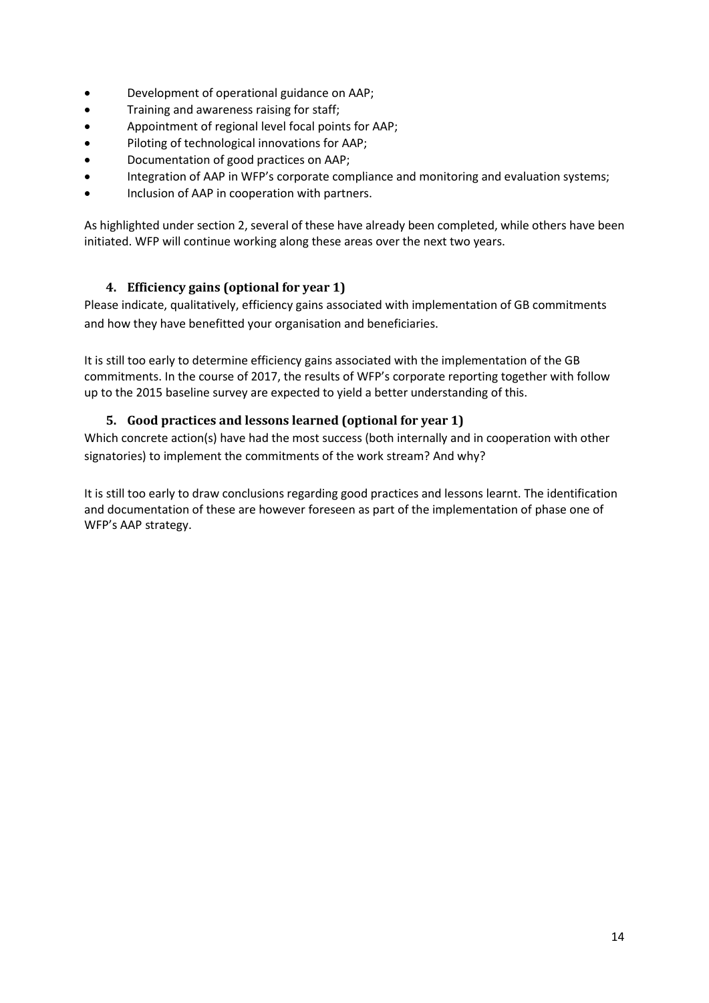- Development of operational guidance on AAP;
- **•** Training and awareness raising for staff;
- Appointment of regional level focal points for AAP;
- Piloting of technological innovations for AAP;
- Documentation of good practices on AAP;
- Integration of AAP in WFP's corporate compliance and monitoring and evaluation systems;
- Inclusion of AAP in cooperation with partners.

As highlighted under section 2, several of these have already been completed, while others have been initiated. WFP will continue working along these areas over the next two years.

## <span id="page-13-0"></span>**4. Efficiency gains (optional for year 1)**

Please indicate, qualitatively, efficiency gains associated with implementation of GB commitments and how they have benefitted your organisation and beneficiaries.

It is still too early to determine efficiency gains associated with the implementation of the GB commitments. In the course of 2017, the results of WFP's corporate reporting together with follow up to the 2015 baseline survey are expected to yield a better understanding of this.

### <span id="page-13-1"></span>**5. Good practices and lessons learned (optional for year 1)**

Which concrete action(s) have had the most success (both internally and in cooperation with other signatories) to implement the commitments of the work stream? And why?

It is still too early to draw conclusions regarding good practices and lessons learnt. The identification and documentation of these are however foreseen as part of the implementation of phase one of WFP's AAP strategy.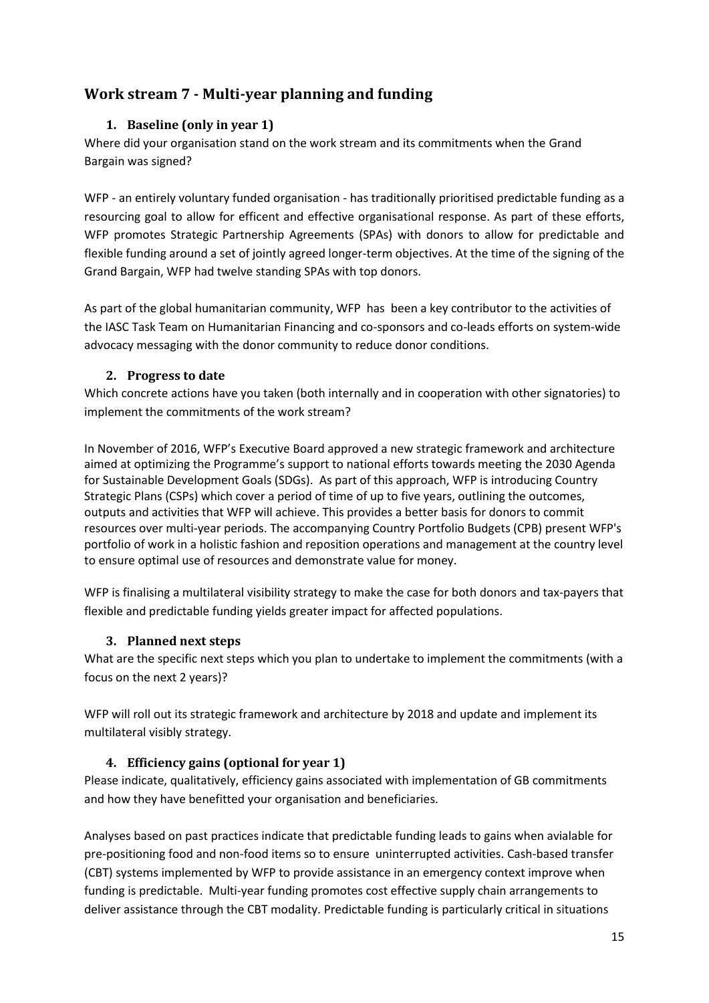## <span id="page-14-1"></span><span id="page-14-0"></span>**Work stream 7 - Multi-year planning and funding**

## **1. Baseline (only in year 1)**

Where did your organisation stand on the work stream and its commitments when the Grand Bargain was signed?

WFP - an entirely voluntary funded organisation - has traditionally prioritised predictable funding as a resourcing goal to allow for efficent and effective organisational response. As part of these efforts, WFP promotes Strategic Partnership Agreements (SPAs) with donors to allow for predictable and flexible funding around a set of jointly agreed longer-term objectives. At the time of the signing of the Grand Bargain, WFP had twelve standing SPAs with top donors.

As part of the global humanitarian community, WFP has been a key contributor to the activities of the IASC Task Team on Humanitarian Financing and co-sponsors and co-leads efforts on system-wide advocacy messaging with the donor community to reduce donor conditions.

## <span id="page-14-2"></span>**2. Progress to date**

Which concrete actions have you taken (both internally and in cooperation with other signatories) to implement the commitments of the work stream?

In November of 2016, WFP's Executive Board approved a new strategic framework and architecture aimed at optimizing the Programme's support to national efforts towards meeting the 2030 Agenda for Sustainable Development Goals (SDGs). As part of this approach, WFP is introducing Country Strategic Plans (CSPs) which cover a period of time of up to five years, outlining the outcomes, outputs and activities that WFP will achieve. This provides a better basis for donors to commit resources over multi-year periods. The accompanying Country Portfolio Budgets (CPB) present WFP's portfolio of work in a holistic fashion and reposition operations and management at the country level to ensure optimal use of resources and demonstrate value for money.

WFP is finalising a multilateral visibility strategy to make the case for both donors and tax-payers that flexible and predictable funding yields greater impact for affected populations.

## **3. Planned next steps**

<span id="page-14-3"></span>What are the specific next steps which you plan to undertake to implement the commitments (with a focus on the next 2 years)?

WFP will roll out its strategic framework and architecture by 2018 and update and implement its multilateral visibly strategy.

## <span id="page-14-4"></span>**4. Efficiency gains (optional for year 1)**

Please indicate, qualitatively, efficiency gains associated with implementation of GB commitments and how they have benefitted your organisation and beneficiaries.

Analyses based on past practices indicate that predictable funding leads to gains when avialable for pre-positioning food and non-food items so to ensure uninterrupted activities. Cash-based transfer (CBT) systems implemented by WFP to provide assistance in an emergency context improve when funding is predictable. Multi-year funding promotes cost effective supply chain arrangements to deliver assistance through the CBT modality. Predictable funding is particularly critical in situations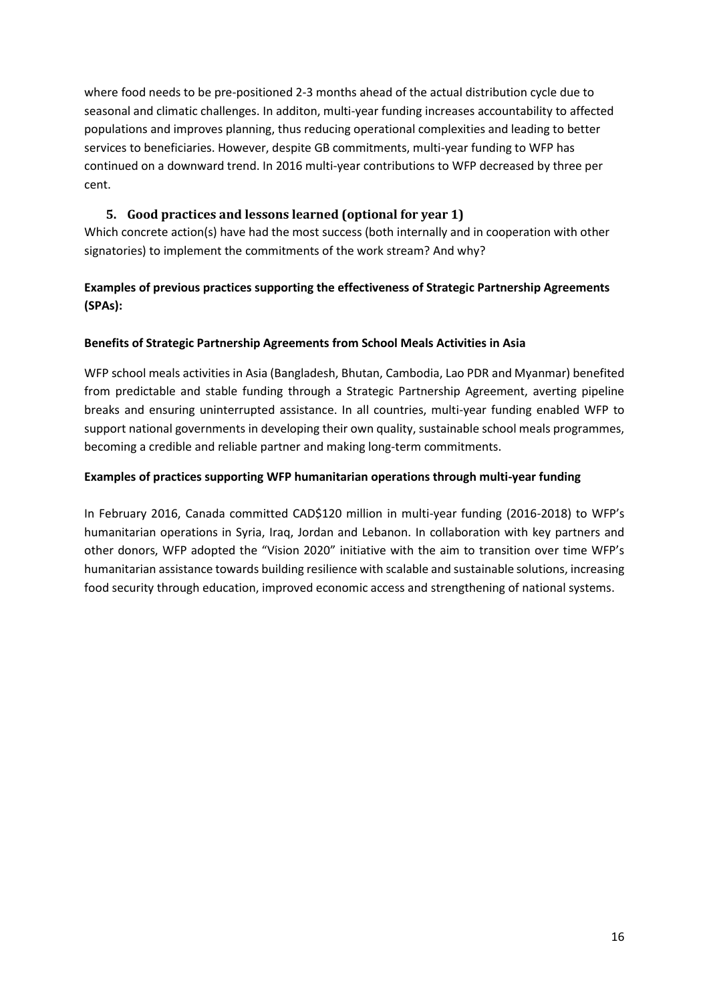where food needs to be pre-positioned 2-3 months ahead of the actual distribution cycle due to seasonal and climatic challenges. In additon, multi-year funding increases accountability to affected populations and improves planning, thus reducing operational complexities and leading to better services to beneficiaries. However, despite GB commitments, multi-year funding to WFP has continued on a downward trend. In 2016 multi-year contributions to WFP decreased by three per cent.

## **5. Good practices and lessons learned (optional for year 1)**

<span id="page-15-0"></span>Which concrete action(s) have had the most success (both internally and in cooperation with other signatories) to implement the commitments of the work stream? And why?

## **Examples of previous practices supporting the effectiveness of Strategic Partnership Agreements (SPAs):**

## **Benefits of Strategic Partnership Agreements from School Meals Activities in Asia**

WFP school meals activities in Asia (Bangladesh, Bhutan, Cambodia, Lao PDR and Myanmar) benefited from predictable and stable funding through a Strategic Partnership Agreement, averting pipeline breaks and ensuring uninterrupted assistance. In all countries, multi-year funding enabled WFP to support national governments in developing their own quality, sustainable school meals programmes, becoming a credible and reliable partner and making long-term commitments.

## **Examples of practices supporting WFP humanitarian operations through multi-year funding**

In February 2016, Canada committed CAD\$120 million in multi-year funding (2016-2018) to WFP's humanitarian operations in Syria, Iraq, Jordan and Lebanon. In collaboration with key partners and other donors, WFP adopted the "Vision 2020" initiative with the aim to transition over time WFP's humanitarian assistance towards building resilience with scalable and sustainable solutions, increasing food security through education, improved economic access and strengthening of national systems.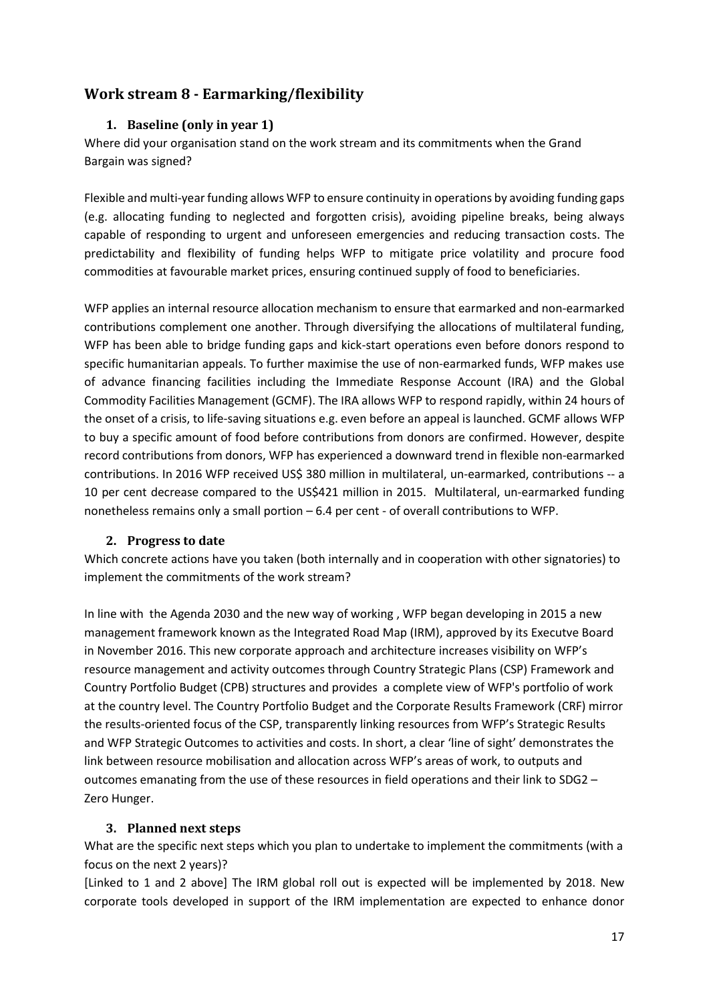## <span id="page-16-1"></span><span id="page-16-0"></span>**Work stream 8 - Earmarking/flexibility**

## **1. Baseline (only in year 1)**

Where did your organisation stand on the work stream and its commitments when the Grand Bargain was signed?

Flexible and multi-year funding allows WFP to ensure continuity in operations by avoiding funding gaps (e.g. allocating funding to neglected and forgotten crisis), avoiding pipeline breaks, being always capable of responding to urgent and unforeseen emergencies and reducing transaction costs. The predictability and flexibility of funding helps WFP to mitigate price volatility and procure food commodities at favourable market prices, ensuring continued supply of food to beneficiaries.

WFP applies an internal resource allocation mechanism to ensure that earmarked and non-earmarked contributions complement one another. Through diversifying the allocations of multilateral funding, WFP has been able to bridge funding gaps and kick-start operations even before donors respond to specific humanitarian appeals. To further maximise the use of non-earmarked funds, WFP makes use of advance financing facilities including the Immediate Response Account (IRA) and the Global Commodity Facilities Management (GCMF). The IRA allows WFP to respond rapidly, within 24 hours of the onset of a crisis, to life-saving situations e.g. even before an appeal is launched. GCMF allows WFP to buy a specific amount of food before contributions from donors are confirmed. However, despite record contributions from donors, WFP has experienced a downward trend in flexible non-earmarked contributions. In 2016 WFP received US\$ 380 million in multilateral, un-earmarked, contributions -- a 10 per cent decrease compared to the US\$421 million in 2015. Multilateral, un-earmarked funding nonetheless remains only a small portion – 6.4 per cent - of overall contributions to WFP.

## <span id="page-16-2"></span>**2. Progress to date**

Which concrete actions have you taken (both internally and in cooperation with other signatories) to implement the commitments of the work stream?

In line with the Agenda 2030 and the new way of working , WFP began developing in 2015 a new management framework known as the Integrated Road Map (IRM), approved by its Executve Board in November 2016. This new corporate approach and architecture increases visibility on WFP's resource management and activity outcomes through Country Strategic Plans (CSP) Framework and Country Portfolio Budget (CPB) structures and provides a complete view of WFP's portfolio of work at the country level. The Country Portfolio Budget and the Corporate Results Framework (CRF) mirror the results-oriented focus of the CSP, transparently linking resources from WFP's Strategic Results and WFP Strategic Outcomes to activities and costs. In short, a clear 'line of sight' demonstrates the link between resource mobilisation and allocation across WFP's areas of work, to outputs and outcomes emanating from the use of these resources in field operations and their link to SDG2 – Zero Hunger.

## <span id="page-16-3"></span>**3. Planned next steps**

What are the specific next steps which you plan to undertake to implement the commitments (with a focus on the next 2 years)?

[Linked to 1 and 2 above] The IRM global roll out is expected will be implemented by 2018. New corporate tools developed in support of the IRM implementation are expected to enhance donor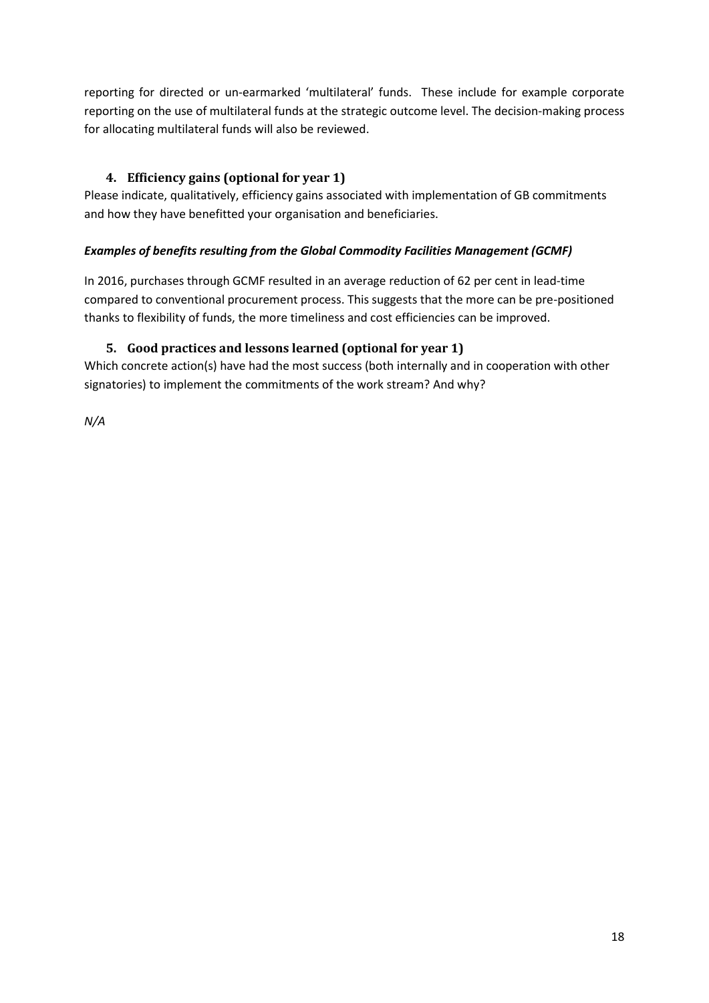reporting for directed or un-earmarked 'multilateral' funds. These include for example corporate reporting on the use of multilateral funds at the strategic outcome level. The decision-making process for allocating multilateral funds will also be reviewed.

## <span id="page-17-0"></span>**4. Efficiency gains (optional for year 1)**

Please indicate, qualitatively, efficiency gains associated with implementation of GB commitments and how they have benefitted your organisation and beneficiaries.

## *Examples of benefits resulting from the Global Commodity Facilities Management (GCMF)*

In 2016, purchases through GCMF resulted in an average reduction of 62 per cent in lead-time compared to conventional procurement process. This suggests that the more can be pre-positioned thanks to flexibility of funds, the more timeliness and cost efficiencies can be improved.

## <span id="page-17-1"></span>**5. Good practices and lessons learned (optional for year 1)**

Which concrete action(s) have had the most success (both internally and in cooperation with other signatories) to implement the commitments of the work stream? And why?

*N/A*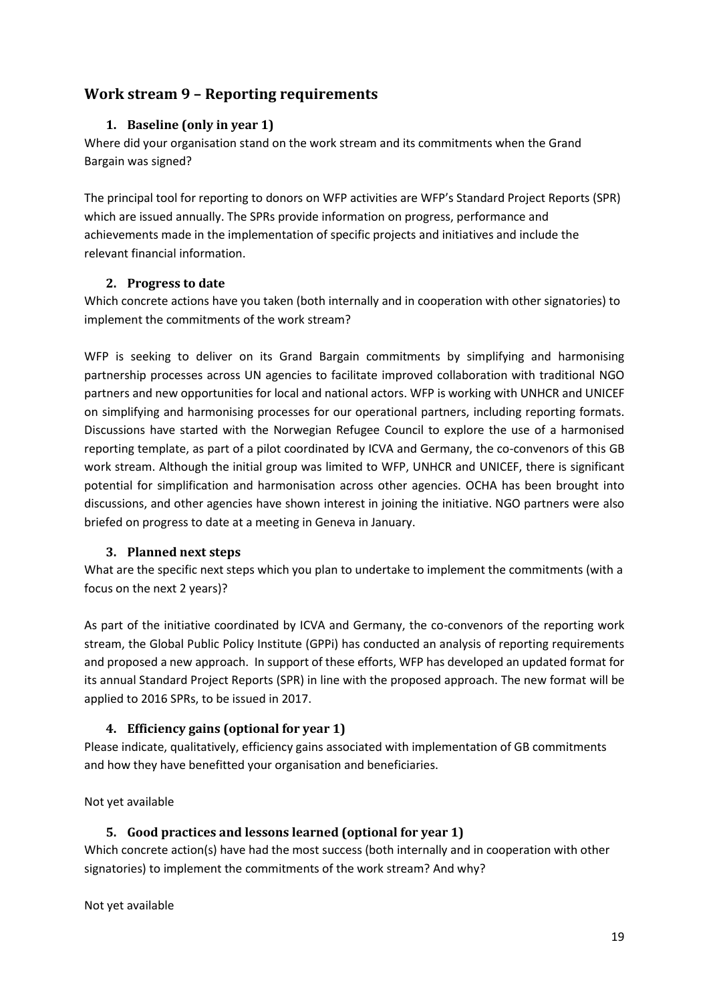## <span id="page-18-1"></span><span id="page-18-0"></span>**Work stream 9 – Reporting requirements**

## **1. Baseline (only in year 1)**

Where did your organisation stand on the work stream and its commitments when the Grand Bargain was signed?

The principal tool for reporting to donors on WFP activities are WFP's Standard Project Reports (SPR) which are issued annually. The SPRs provide information on progress, performance and achievements made in the implementation of specific projects and initiatives and include the relevant financial information.

#### **2. Progress to date**

<span id="page-18-2"></span>Which concrete actions have you taken (both internally and in cooperation with other signatories) to implement the commitments of the work stream?

WFP is seeking to deliver on its Grand Bargain commitments by simplifying and harmonising partnership processes across UN agencies to facilitate improved collaboration with traditional NGO partners and new opportunities for local and national actors. WFP is working with UNHCR and UNICEF on simplifying and harmonising processes for our operational partners, including reporting formats. Discussions have started with the Norwegian Refugee Council to explore the use of a harmonised reporting template, as part of a pilot coordinated by ICVA and Germany, the co-convenors of this GB work stream. Although the initial group was limited to WFP, UNHCR and UNICEF, there is significant potential for simplification and harmonisation across other agencies. OCHA has been brought into discussions, and other agencies have shown interest in joining the initiative. NGO partners were also briefed on progress to date at a meeting in Geneva in January.

## <span id="page-18-3"></span>**3. Planned next steps**

What are the specific next steps which you plan to undertake to implement the commitments (with a focus on the next 2 years)?

As part of the initiative coordinated by ICVA and Germany, the co-convenors of the reporting work stream, the Global Public Policy Institute (GPPi) has conducted an analysis of reporting requirements and proposed a new approach. In support of these efforts, WFP has developed an updated format for its annual Standard Project Reports (SPR) in line with the proposed approach. The new format will be applied to 2016 SPRs, to be issued in 2017.

## <span id="page-18-4"></span>**4. Efficiency gains (optional for year 1)**

Please indicate, qualitatively, efficiency gains associated with implementation of GB commitments and how they have benefitted your organisation and beneficiaries.

<span id="page-18-5"></span>Not yet available

## **5. Good practices and lessons learned (optional for year 1)**

Which concrete action(s) have had the most success (both internally and in cooperation with other signatories) to implement the commitments of the work stream? And why?

Not yet available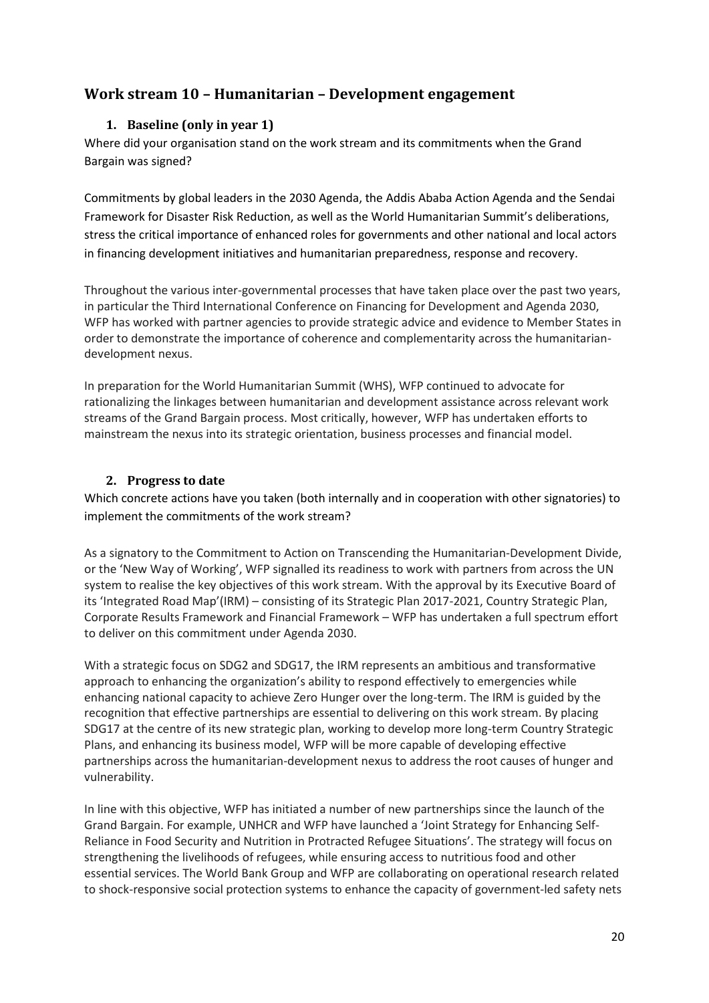## <span id="page-19-1"></span><span id="page-19-0"></span>**Work stream 10 – Humanitarian – Development engagement**

## **1. Baseline (only in year 1)**

Where did your organisation stand on the work stream and its commitments when the Grand Bargain was signed?

Commitments by global leaders in the 2030 Agenda, the Addis Ababa Action Agenda and the Sendai Framework for Disaster Risk Reduction, as well as the World Humanitarian Summit's deliberations, stress the critical importance of enhanced roles for governments and other national and local actors in financing development initiatives and humanitarian preparedness, response and recovery.

Throughout the various inter-governmental processes that have taken place over the past two years, in particular the Third International Conference on Financing for Development and Agenda 2030, WFP has worked with partner agencies to provide strategic advice and evidence to Member States in order to demonstrate the importance of coherence and complementarity across the humanitariandevelopment nexus.

In preparation for the World Humanitarian Summit (WHS), WFP continued to advocate for rationalizing the linkages between humanitarian and development assistance across relevant work streams of the Grand Bargain process. Most critically, however, WFP has undertaken efforts to mainstream the nexus into its strategic orientation, business processes and financial model.

### <span id="page-19-2"></span>**2. Progress to date**

Which concrete actions have you taken (both internally and in cooperation with other signatories) to implement the commitments of the work stream?

As a signatory to the Commitment to Action on Transcending the Humanitarian-Development Divide, or the 'New Way of Working', WFP signalled its readiness to work with partners from across the UN system to realise the key objectives of this work stream. With the approval by its Executive Board of its 'Integrated Road Map'(IRM) – consisting of its Strategic Plan 2017-2021, Country Strategic Plan, Corporate Results Framework and Financial Framework – WFP has undertaken a full spectrum effort to deliver on this commitment under Agenda 2030.

With a strategic focus on SDG2 and SDG17, the IRM represents an ambitious and transformative approach to enhancing the organization's ability to respond effectively to emergencies while enhancing national capacity to achieve Zero Hunger over the long-term. The IRM is guided by the recognition that effective partnerships are essential to delivering on this work stream. By placing SDG17 at the centre of its new strategic plan, working to develop more long-term Country Strategic Plans, and enhancing its business model, WFP will be more capable of developing effective partnerships across the humanitarian-development nexus to address the root causes of hunger and vulnerability.

In line with this objective, WFP has initiated a number of new partnerships since the launch of the Grand Bargain. For example, UNHCR and WFP have launched a 'Joint Strategy for Enhancing Self-Reliance in Food Security and Nutrition in Protracted Refugee Situations'. The strategy will focus on strengthening the livelihoods of refugees, while ensuring access to nutritious food and other essential services. The World Bank Group and WFP are collaborating on operational research related to shock-responsive social protection systems to enhance the capacity of government-led safety nets